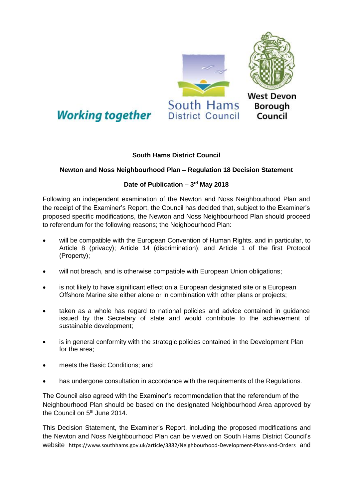

## **South Hams District Council**

## **Newton and Noss Neighbourhood Plan – Regulation 18 Decision Statement**

## **Date of Publication – 3 rd May 2018**

Following an independent examination of the Newton and Noss Neighbourhood Plan and the receipt of the Examiner's Report, the Council has decided that, subject to the Examiner's proposed specific modifications, the Newton and Noss Neighbourhood Plan should proceed to referendum for the following reasons; the Neighbourhood Plan:

- will be compatible with the European Convention of Human Rights, and in particular, to Article 8 (privacy); Article 14 (discrimination); and Article 1 of the first Protocol (Property);
- will not breach, and is otherwise compatible with European Union obligations;
- is not likely to have significant effect on a European designated site or a European Offshore Marine site either alone or in combination with other plans or projects;
- taken as a whole has regard to national policies and advice contained in guidance issued by the Secretary of state and would contribute to the achievement of sustainable development;
- is in general conformity with the strategic policies contained in the Development Plan for the area;
- meets the Basic Conditions; and
- has undergone consultation in accordance with the requirements of the Regulations.

The Council also agreed with the Examiner's recommendation that the referendum of the Neighbourhood Plan should be based on the designated Neighbourhood Area approved by the Council on 5<sup>th</sup> June 2014.

This Decision Statement, the Examiner's Report, including the proposed modifications and the Newton and Noss Neighbourhood Plan can be viewed on South Hams District Council's website <https://www.southhams.gov.uk/article/3882/Neighbourhood-Development-Plans-and-Orders> and